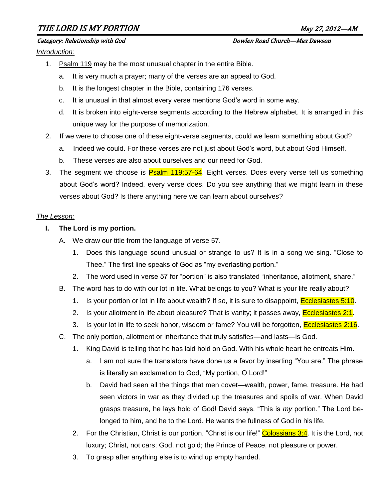# THE LORD IS MY PORTION May 27, 2012—AM

Category: Relationship with God Dowlen Road Church—Max Dawson

*Introduction:*

- 1. Psalm 119 may be the most unusual chapter in the entire Bible.
	- a. It is very much a prayer; many of the verses are an appeal to God.
	- b. It is the longest chapter in the Bible, containing 176 verses.
	- c. It is unusual in that almost every verse mentions God's word in some way.
	- d. It is broken into eight-verse segments according to the Hebrew alphabet. It is arranged in this unique way for the purpose of memorization.
- 2. If we were to choose one of these eight-verse segments, could we learn something about God?
	- a. Indeed we could. For these verses are not just about God's word, but about God Himself.
	- b. These verses are also about ourselves and our need for God.
- 3. The segment we choose is Psalm 119:57-64. Eight verses. Does every verse tell us something about God's word? Indeed, every verse does. Do you see anything that we might learn in these verses about God? Is there anything here we can learn about ourselves?

#### *The Lesson:*

- **I. The Lord is my portion.**
	- A. We draw our title from the language of verse 57.
		- 1. Does this language sound unusual or strange to us? It is in a song we sing. "Close to Thee." The first line speaks of God as "my everlasting portion."
		- 2. The word used in verse 57 for "portion" is also translated "inheritance, allotment, share."
	- B. The word has to do with our lot in life. What belongs to you? What is your life really about?
		- 1. Is your portion or lot in life about wealth? If so, it is sure to disappoint, Ecclesiastes 5:10.
		- 2. Is your allotment in life about pleasure? That is vanity; it passes away, **Ecclesiastes 2:1.**
		- 3. Is your lot in life to seek honor, wisdom or fame? You will be forgotten, **Ecclesiastes 2:16.**
	- C. The only portion, allotment or inheritance that truly satisfies—and lasts—is God.
		- 1. King David is telling that he has laid hold on God. With his whole heart he entreats Him.
			- a. I am not sure the translators have done us a favor by inserting "You are." The phrase is literally an exclamation to God, "My portion, O Lord!"
			- b. David had seen all the things that men covet—wealth, power, fame, treasure. He had seen victors in war as they divided up the treasures and spoils of war. When David grasps treasure, he lays hold of God! David says, "This is *my* portion." The Lord belonged to him, and he to the Lord. He wants the fullness of God in his life.
		- 2. For the Christian, Christ is our portion. "Christ is our life!" Colossians 3:4. It is the Lord, not luxury; Christ, not cars; God, not gold; the Prince of Peace, not pleasure or power.
		- 3. To grasp after anything else is to wind up empty handed.